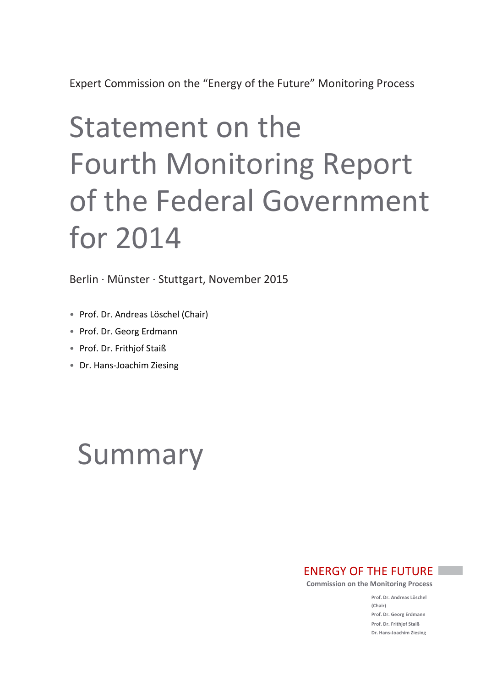# Statement on the Fourth Monitoring Report of the Federal Government for 2014

Berlin · Münster · Stuttgart, November 2015

- Prof. Dr. Andreas Löschel (Chair)
- Prof. Dr. Georg Erdmann
- Prof. Dr. Frithjof Staiß
- Dr. Hans-Joachim Ziesing

# Summary

# ENERGY OF THE FUTURE

**Commission on the Monitoring Process**

**Prof. Dr. Andreas Löschel (Chair) Prof. Dr. Georg Erdmann Prof. Dr. Frithjof Staiß Dr. Hans-Joachim Ziesing**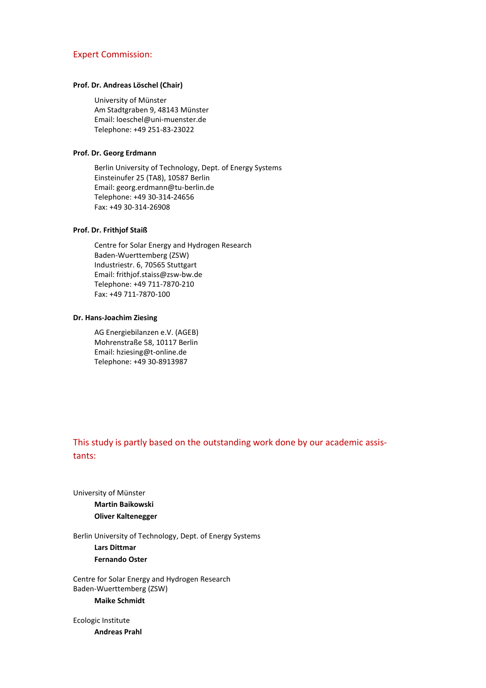#### Expert Commission:

#### **Prof. Dr. Andreas Löschel (Chair)**

University of Münster Am Stadtgraben 9, 48143 Münster Email: loeschel@uni-muenster.de Telephone: +49 251-83-23022

## **Prof. Dr. Georg Erdmann**

Berlin University of Technology, Dept. of Energy Systems Einsteinufer 25 (TA8), 10587 Berlin Email: [georg.erdmann@tu-berlin.de](mailto:georg.erdmann@tu-berlin.de) Telephone: +49 30-314-24656 Fax: +49 30-314-26908

## **Prof. Dr. Frithjof Staiß**

Centre for Solar Energy and Hydrogen Research Baden-Wuerttemberg (ZSW) Industriestr. 6, 70565 Stuttgart Email: [frithjof.staiss@zsw-bw.de](mailto:frithjof.staiss@zsw-bw.de) Telephone: +49 711-7870-210 Fax: +49 711-7870-100

## **Dr. Hans-Joachim Ziesing**

AG Energiebilanzen e.V. (AGEB) Mohrenstraße 58, 10117 Berlin Email: [hziesing@t-online.de](mailto:hziesing@t-online.de) Telephone: +49 30-8913987

# This study is partly based on the outstanding work done by our academic assistants:

University of Münster **Martin Baikowski Oliver Kaltenegger**

Berlin University of Technology, Dept. of Energy Systems **Lars Dittmar Fernando Oster**

Centre for Solar Energy and Hydrogen Research Baden-Wuerttemberg (ZSW)

#### **Maike Schmidt**

Ecologic Institute **Andreas Prahl**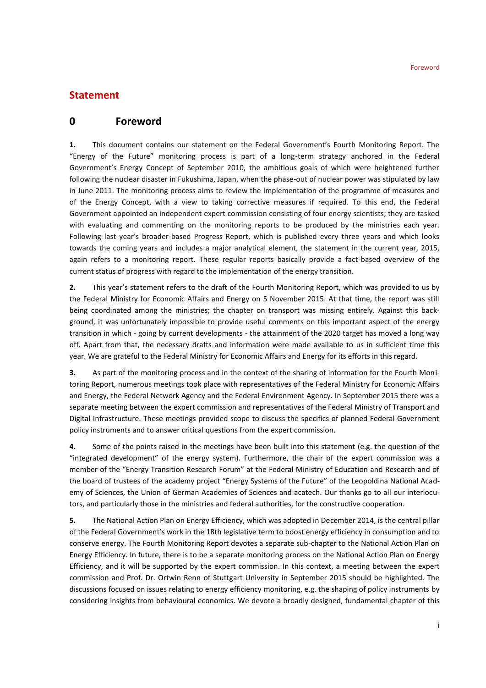# **Statement**

# **0 Foreword**

**1.** This document contains our statement on the Federal Government's Fourth Monitoring Report. The "Energy of the Future" monitoring process is part of a long-term strategy anchored in the Federal Government's Energy Concept of September 2010, the ambitious goals of which were heightened further following the nuclear disaster in Fukushima, Japan, when the phase-out of nuclear power was stipulated by law in June 2011. The monitoring process aims to review the implementation of the programme of measures and of the Energy Concept, with a view to taking corrective measures if required. To this end, the Federal Government appointed an independent expert commission consisting of four energy scientists; they are tasked with evaluating and commenting on the monitoring reports to be produced by the ministries each year. Following last year's broader-based Progress Report, which is published every three years and which looks towards the coming years and includes a major analytical element, the statement in the current year, 2015, again refers to a monitoring report. These regular reports basically provide a fact-based overview of the current status of progress with regard to the implementation of the energy transition.

**2.** This year's statement refers to the draft of the Fourth Monitoring Report, which was provided to us by the Federal Ministry for Economic Affairs and Energy on 5 November 2015. At that time, the report was still being coordinated among the ministries; the chapter on transport was missing entirely. Against this background, it was unfortunately impossible to provide useful comments on this important aspect of the energy transition in which - going by current developments - the attainment of the 2020 target has moved a long way off. Apart from that, the necessary drafts and information were made available to us in sufficient time this year. We are grateful to the Federal Ministry for Economic Affairs and Energy for its efforts in this regard.

**3.** As part of the monitoring process and in the context of the sharing of information for the Fourth Monitoring Report, numerous meetings took place with representatives of the Federal Ministry for Economic Affairs and Energy, the Federal Network Agency and the Federal Environment Agency. In September 2015 there was a separate meeting between the expert commission and representatives of the Federal Ministry of Transport and Digital Infrastructure. These meetings provided scope to discuss the specifics of planned Federal Government policy instruments and to answer critical questions from the expert commission.

**4.** Some of the points raised in the meetings have been built into this statement (e.g. the question of the "integrated development" of the energy system). Furthermore, the chair of the expert commission was a member of the "Energy Transition Research Forum" at the Federal Ministry of Education and Research and of the board of trustees of the academy project "Energy Systems of the Future" of the Leopoldina National Academy of Sciences, the Union of German Academies of Sciences and acatech. Our thanks go to all our interlocutors, and particularly those in the ministries and federal authorities, for the constructive cooperation.

**5.** The National Action Plan on Energy Efficiency, which was adopted in December 2014, is the central pillar of the Federal Government's work in the 18th legislative term to boost energy efficiency in consumption and to conserve energy. The Fourth Monitoring Report devotes a separate sub-chapter to the National Action Plan on Energy Efficiency. In future, there is to be a separate monitoring process on the National Action Plan on Energy Efficiency, and it will be supported by the expert commission. In this context, a meeting between the expert commission and Prof. Dr. Ortwin Renn of Stuttgart University in September 2015 should be highlighted. The discussions focused on issues relating to energy efficiency monitoring, e.g. the shaping of policy instruments by considering insights from behavioural economics. We devote a broadly designed, fundamental chapter of this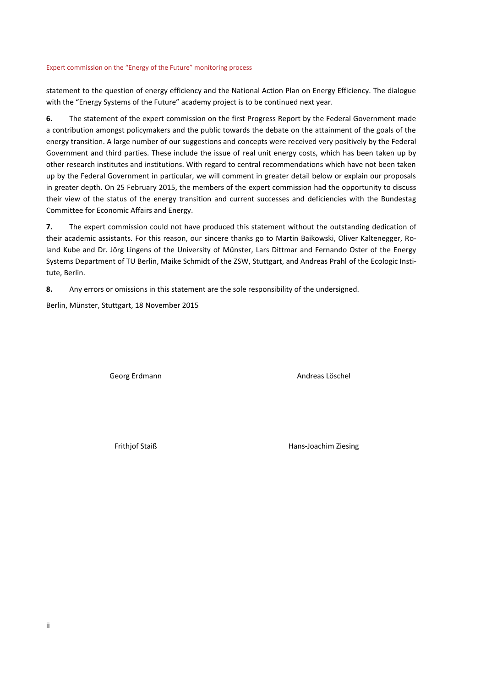statement to the question of energy efficiency and the National Action Plan on Energy Efficiency. The dialogue with the "Energy Systems of the Future" academy project is to be continued next year.

**6.** The statement of the expert commission on the first Progress Report by the Federal Government made a contribution amongst policymakers and the public towards the debate on the attainment of the goals of the energy transition. A large number of our suggestions and concepts were received very positively by the Federal Government and third parties. These include the issue of real unit energy costs, which has been taken up by other research institutes and institutions. With regard to central recommendations which have not been taken up by the Federal Government in particular, we will comment in greater detail below or explain our proposals in greater depth. On 25 February 2015, the members of the expert commission had the opportunity to discuss their view of the status of the energy transition and current successes and deficiencies with the Bundestag Committee for Economic Affairs and Energy.

**7.** The expert commission could not have produced this statement without the outstanding dedication of their academic assistants. For this reason, our sincere thanks go to Martin Baikowski, Oliver Kaltenegger, Roland Kube and Dr. Jörg Lingens of the University of Münster, Lars Dittmar and Fernando Oster of the Energy Systems Department of TU Berlin, Maike Schmidt of the ZSW, Stuttgart, and Andreas Prahl of the Ecologic Institute, Berlin.

**8.** Any errors or omissions in this statement are the sole responsibility of the undersigned.

Berlin, Münster, Stuttgart, 18 November 2015

Georg Erdmann **Andreas Löschel** Andreas Löschel

Frithjof Staiß **Hans-Joachim Ziesing**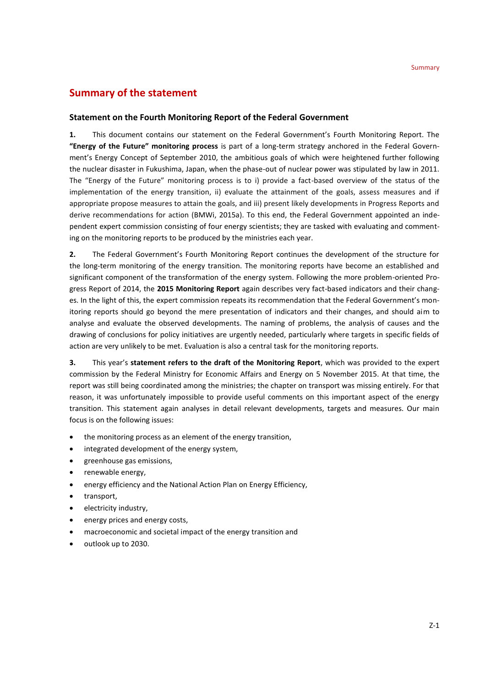# **Summary of the statement**

## **Statement on the Fourth Monitoring Report of the Federal Government**

**1.** This document contains our statement on the Federal Government's Fourth Monitoring Report. The **"Energy of the Future" monitoring process** is part of a long-term strategy anchored in the Federal Government's Energy Concept of September 2010, the ambitious goals of which were heightened further following the nuclear disaster in Fukushima, Japan, when the phase-out of nuclear power was stipulated by law in 2011. The "Energy of the Future" monitoring process is to i) provide a fact-based overview of the status of the implementation of the energy transition, ii) evaluate the attainment of the goals, assess measures and if appropriate propose measures to attain the goals, and iii) present likely developments in Progress Reports and derive recommendations for action (BMWi, 2015a). To this end, the Federal Government appointed an independent expert commission consisting of four energy scientists; they are tasked with evaluating and commenting on the monitoring reports to be produced by the ministries each year.

**2.** The Federal Government's Fourth Monitoring Report continues the development of the structure for the long-term monitoring of the energy transition. The monitoring reports have become an established and significant component of the transformation of the energy system. Following the more problem-oriented Progress Report of 2014, the **2015 Monitoring Report** again describes very fact-based indicators and their changes. In the light of this, the expert commission repeats its recommendation that the Federal Government's monitoring reports should go beyond the mere presentation of indicators and their changes, and should aim to analyse and evaluate the observed developments. The naming of problems, the analysis of causes and the drawing of conclusions for policy initiatives are urgently needed, particularly where targets in specific fields of action are very unlikely to be met. Evaluation is also a central task for the monitoring reports.

**3.** This year's **statement refers to the draft of the Monitoring Report**, which was provided to the expert commission by the Federal Ministry for Economic Affairs and Energy on 5 November 2015. At that time, the report was still being coordinated among the ministries; the chapter on transport was missing entirely. For that reason, it was unfortunately impossible to provide useful comments on this important aspect of the energy transition. This statement again analyses in detail relevant developments, targets and measures. Our main focus is on the following issues:

- the monitoring process as an element of the energy transition,
- integrated development of the energy system,
- greenhouse gas emissions,
- renewable energy,
- energy efficiency and the National Action Plan on Energy Efficiency,
- transport,
- electricity industry,
- energy prices and energy costs,
- macroeconomic and societal impact of the energy transition and
- outlook up to 2030.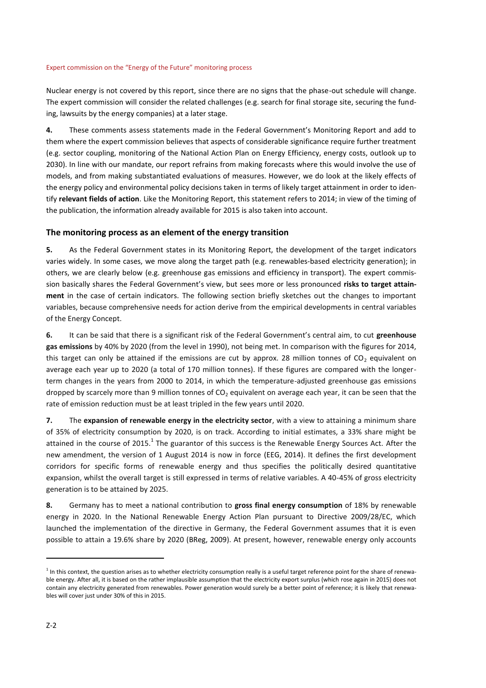Nuclear energy is not covered by this report, since there are no signs that the phase-out schedule will change. The expert commission will consider the related challenges (e.g. search for final storage site, securing the funding, lawsuits by the energy companies) at a later stage.

**4.** These comments assess statements made in the Federal Government's Monitoring Report and add to them where the expert commission believes that aspects of considerable significance require further treatment (e.g. sector coupling, monitoring of the National Action Plan on Energy Efficiency, energy costs, outlook up to 2030). In line with our mandate, our report refrains from making forecasts where this would involve the use of models, and from making substantiated evaluations of measures. However, we do look at the likely effects of the energy policy and environmental policy decisions taken in terms of likely target attainment in order to identify **relevant fields of action**. Like the Monitoring Report, this statement refers to 2014; in view of the timing of the publication, the information already available for 2015 is also taken into account.

## **The monitoring process as an element of the energy transition**

**5.** As the Federal Government states in its Monitoring Report, the development of the target indicators varies widely. In some cases, we move along the target path (e.g. renewables-based electricity generation); in others, we are clearly below (e.g. greenhouse gas emissions and efficiency in transport). The expert commission basically shares the Federal Government's view, but sees more or less pronounced **risks to target attainment** in the case of certain indicators. The following section briefly sketches out the changes to important variables, because comprehensive needs for action derive from the empirical developments in central variables of the Energy Concept.

**6.** It can be said that there is a significant risk of the Federal Government's central aim, to cut **greenhouse gas emissions** by 40% by 2020 (from the level in 1990), not being met. In comparison with the figures for 2014, this target can only be attained if the emissions are cut by approx. 28 million tonnes of  $CO<sub>2</sub>$  equivalent on average each year up to 2020 (a total of 170 million tonnes). If these figures are compared with the longerterm changes in the years from 2000 to 2014, in which the temperature-adjusted greenhouse gas emissions dropped by scarcely more than 9 million tonnes of  $CO<sub>2</sub>$  equivalent on average each year, it can be seen that the rate of emission reduction must be at least tripled in the few years until 2020.

**7.** The **expansion of renewable energy in the electricity sector**, with a view to attaining a minimum share of 35% of electricity consumption by 2020, is on track. According to initial estimates, a 33% share might be attained in the course of 2015.<sup>1</sup> The guarantor of this success is the Renewable Energy Sources Act. After the new amendment, the version of 1 August 2014 is now in force (EEG, 2014). It defines the first development corridors for specific forms of renewable energy and thus specifies the politically desired quantitative expansion, whilst the overall target is still expressed in terms of relative variables. A 40-45% of gross electricity generation is to be attained by 2025.

**8.** Germany has to meet a national contribution to **gross final energy consumption** of 18% by renewable energy in 2020. In the National Renewable Energy Action Plan pursuant to Directive 2009/28/EC, which launched the implementation of the directive in Germany, the Federal Government assumes that it is even possible to attain a 19.6% share by 2020 (BReg, 2009). At present, however, renewable energy only accounts

1

<sup>&</sup>lt;sup>1</sup> In this context, the question arises as to whether electricity consumption really is a useful target reference point for the share of renewable energy. After all, it is based on the rather implausible assumption that the electricity export surplus (which rose again in 2015) does not contain any electricity generated from renewables. Power generation would surely be a better point of reference; it is likely that renewables will cover just under 30% of this in 2015.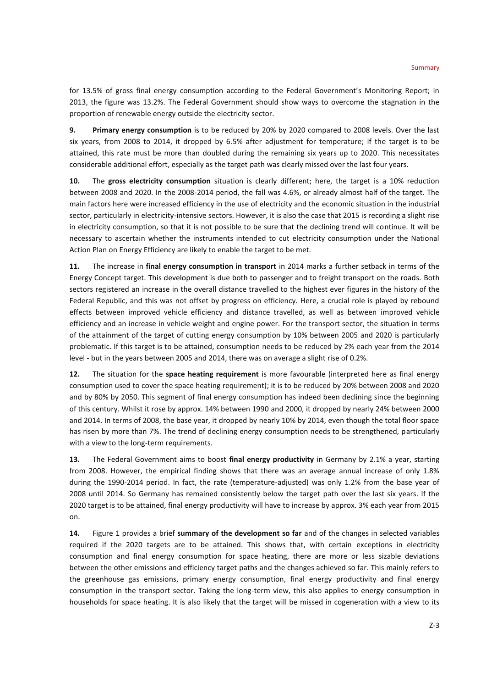for 13.5% of gross final energy consumption according to the Federal Government's Monitoring Report; in 2013, the figure was 13.2%. The Federal Government should show ways to overcome the stagnation in the proportion of renewable energy outside the electricity sector.

**9. Primary energy consumption** is to be reduced by 20% by 2020 compared to 2008 levels. Over the last six years, from 2008 to 2014, it dropped by 6.5% after adjustment for temperature; if the target is to be attained, this rate must be more than doubled during the remaining six years up to 2020. This necessitates considerable additional effort, especially as the target path was clearly missed over the last four years.

**10.** The **gross electricity consumption** situation is clearly different; here, the target is a 10% reduction between 2008 and 2020. In the 2008-2014 period, the fall was 4.6%, or already almost half of the target. The main factors here were increased efficiency in the use of electricity and the economic situation in the industrial sector, particularly in electricity-intensive sectors. However, it is also the case that 2015 is recording a slight rise in electricity consumption, so that it is not possible to be sure that the declining trend will continue. It will be necessary to ascertain whether the instruments intended to cut electricity consumption under the National Action Plan on Energy Efficiency are likely to enable the target to be met.

**11.** The increase in **final energy consumption in transport** in 2014 marks a further setback in terms of the Energy Concept target. This development is due both to passenger and to freight transport on the roads. Both sectors registered an increase in the overall distance travelled to the highest ever figures in the history of the Federal Republic, and this was not offset by progress on efficiency. Here, a crucial role is played by rebound effects between improved vehicle efficiency and distance travelled, as well as between improved vehicle efficiency and an increase in vehicle weight and engine power. For the transport sector, the situation in terms of the attainment of the target of cutting energy consumption by 10% between 2005 and 2020 is particularly problematic. If this target is to be attained, consumption needs to be reduced by 2% each year from the 2014 level - but in the years between 2005 and 2014, there was on average a slight rise of 0.2%.

**12.** The situation for the **space heating requirement** is more favourable (interpreted here as final energy consumption used to cover the space heating requirement); it is to be reduced by 20% between 2008 and 2020 and by 80% by 2050. This segment of final energy consumption has indeed been declining since the beginning of this century. Whilst it rose by approx. 14% between 1990 and 2000, it dropped by nearly 24% between 2000 and 2014. In terms of 2008, the base year, it dropped by nearly 10% by 2014, even though the total floor space has risen by more than 7%. The trend of declining energy consumption needs to be strengthened, particularly with a view to the long-term requirements.

**13.** The Federal Government aims to boost **final energy productivity** in Germany by 2.1% a year, starting from 2008. However, the empirical finding shows that there was an average annual increase of only 1.8% during the 1990-2014 period. In fact, the rate (temperature-adjusted) was only 1.2% from the base year of 2008 until 2014. So Germany has remained consistently below the target path over the last six years. If the 2020 target is to be attained, final energy productivity will have to increase by approx. 3% each year from 2015 on.

**14.** Figure 1 provides a brief **summary of the development so far** and of the changes in selected variables required if the 2020 targets are to be attained. This shows that, with certain exceptions in electricity consumption and final energy consumption for space heating, there are more or less sizable deviations between the other emissions and efficiency target paths and the changes achieved so far. This mainly refers to the greenhouse gas emissions, primary energy consumption, final energy productivity and final energy consumption in the transport sector. Taking the long-term view, this also applies to energy consumption in households for space heating. It is also likely that the target will be missed in cogeneration with a view to its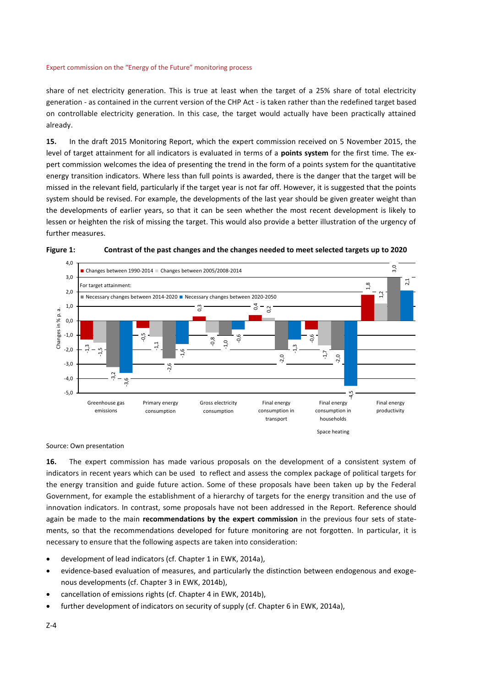share of net electricity generation. This is true at least when the target of a 25% share of total electricity generation - as contained in the current version of the CHP Act - is taken rather than the redefined target based on controllable electricity generation. In this case, the target would actually have been practically attained already.

**15.** In the draft 2015 Monitoring Report, which the expert commission received on 5 November 2015, the level of target attainment for all indicators is evaluated in terms of a **points system** for the first time. The expert commission welcomes the idea of presenting the trend in the form of a points system for the quantitative energy transition indicators. Where less than full points is awarded, there is the danger that the target will be missed in the relevant field, particularly if the target year is not far off. However, it is suggested that the points system should be revised. For example, the developments of the last year should be given greater weight than the developments of earlier years, so that it can be seen whether the most recent development is likely to lessen or heighten the risk of missing the target. This would also provide a better illustration of the urgency of further measures.





#### Source: Own presentation

**16.** The expert commission has made various proposals on the development of a consistent system of indicators in recent years which can be used to reflect and assess the complex package of political targets for the energy transition and guide future action. Some of these proposals have been taken up by the Federal Government, for example the establishment of a hierarchy of targets for the energy transition and the use of innovation indicators. In contrast, some proposals have not been addressed in the Report. Reference should again be made to the main **recommendations by the expert commission** in the previous four sets of statements, so that the recommendations developed for future monitoring are not forgotten. In particular, it is necessary to ensure that the following aspects are taken into consideration:

- development of lead indicators (cf. Chapter 1 in EWK, 2014a),
- evidence-based evaluation of measures, and particularly the distinction between endogenous and exogenous developments (cf. Chapter 3 in EWK, 2014b),
- cancellation of emissions rights (cf. Chapter 4 in EWK, 2014b),
- further development of indicators on security of supply (cf. Chapter 6 in EWK, 2014a),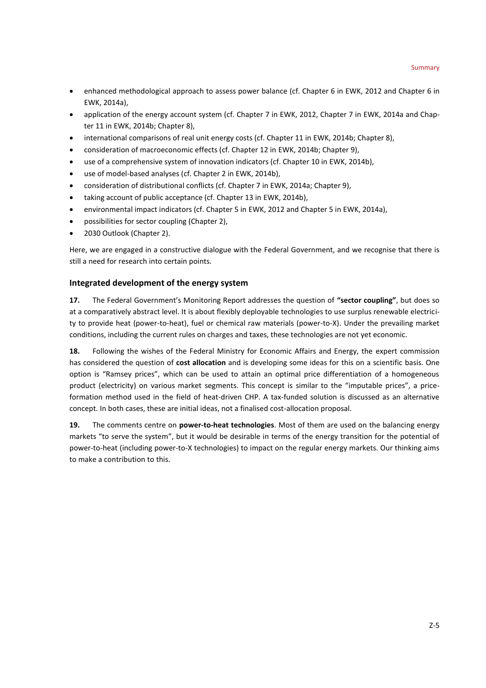- enhanced methodological approach to assess power balance (cf. Chapter 6 in EWK, 2012 and Chapter 6 in EWK, 2014a),
- application of the energy account system (cf. Chapter 7 in EWK, 2012, Chapter 7 in EWK, 2014a and Chapter 11 in EWK, 2014b; Chapter 8),
- international comparisons of real unit energy costs (cf. Chapter 11 in EWK, 2014b; Chapter 8),
- consideration of macroeconomic effects (cf. Chapter 12 in EWK, 2014b; Chapter 9),
- use of a comprehensive system of innovation indicators (cf. Chapter 10 in EWK, 2014b),
- use of model-based analyses (cf. Chapter 2 in EWK, 2014b),
- consideration of distributional conflicts (cf. Chapter 7 in EWK, 2014a; Chapter 9),
- taking account of public acceptance (cf. Chapter 13 in EWK, 2014b),
- environmental impact indicators (cf. Chapter 5 in EWK, 2012 and Chapter 5 in EWK, 2014a),
- possibilities for sector coupling (Chapter 2),
- 2030 Outlook (Chapter 2).

Here, we are engaged in a constructive dialogue with the Federal Government, and we recognise that there is still a need for research into certain points.

## **Integrated development of the energy system**

**17.** The Federal Government's Monitoring Report addresses the question of **"sector coupling"**, but does so at a comparatively abstract level. It is about flexibly deployable technologies to use surplus renewable electricity to provide heat (power-to-heat), fuel or chemical raw materials (power-to-X). Under the prevailing market conditions, including the current rules on charges and taxes, these technologies are not yet economic.

**18.** Following the wishes of the Federal Ministry for Economic Affairs and Energy, the expert commission has considered the question of **cost allocation** and is developing some ideas for this on a scientific basis. One option is "Ramsey prices", which can be used to attain an optimal price differentiation of a homogeneous product (electricity) on various market segments. This concept is similar to the "imputable prices", a priceformation method used in the field of heat-driven CHP. A tax-funded solution is discussed as an alternative concept. In both cases, these are initial ideas, not a finalised cost-allocation proposal.

**19.** The comments centre on **power-to-heat technologies**. Most of them are used on the balancing energy markets "to serve the system", but it would be desirable in terms of the energy transition for the potential of power-to-heat (including power-to-X technologies) to impact on the regular energy markets. Our thinking aims to make a contribution to this.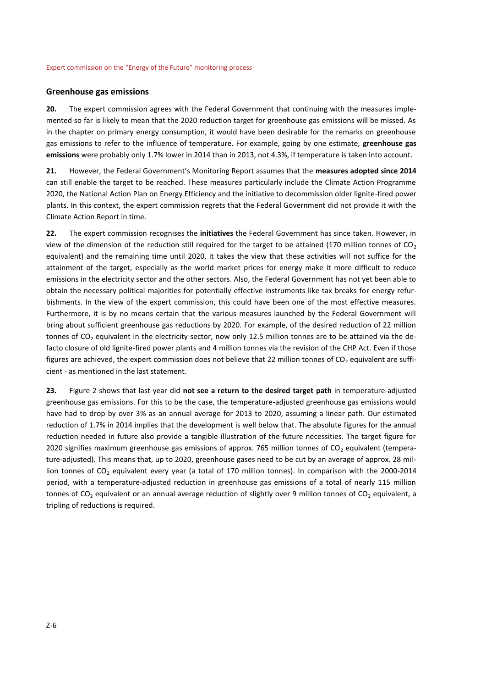#### **Greenhouse gas emissions**

**20.** The expert commission agrees with the Federal Government that continuing with the measures implemented so far is likely to mean that the 2020 reduction target for greenhouse gas emissions will be missed. As in the chapter on primary energy consumption, it would have been desirable for the remarks on greenhouse gas emissions to refer to the influence of temperature. For example, going by one estimate, **greenhouse gas emissions** were probably only 1.7% lower in 2014 than in 2013, not 4.3%, if temperature is taken into account.

**21.** However, the Federal Government's Monitoring Report assumes that the **measures adopted since 2014** can still enable the target to be reached. These measures particularly include the Climate Action Programme 2020, the National Action Plan on Energy Efficiency and the initiative to decommission older lignite-fired power plants. In this context, the expert commission regrets that the Federal Government did not provide it with the Climate Action Report in time.

**22.** The expert commission recognises the **initiatives** the Federal Government has since taken. However, in view of the dimension of the reduction still required for the target to be attained (170 million tonnes of  $CO<sub>2</sub>$ equivalent) and the remaining time until 2020, it takes the view that these activities will not suffice for the attainment of the target, especially as the world market prices for energy make it more difficult to reduce emissions in the electricity sector and the other sectors. Also, the Federal Government has not yet been able to obtain the necessary political majorities for potentially effective instruments like tax breaks for energy refurbishments. In the view of the expert commission, this could have been one of the most effective measures. Furthermore, it is by no means certain that the various measures launched by the Federal Government will bring about sufficient greenhouse gas reductions by 2020. For example, of the desired reduction of 22 million tonnes of  $CO<sub>2</sub>$  equivalent in the electricity sector, now only 12.5 million tonnes are to be attained via the defacto closure of old lignite-fired power plants and 4 million tonnes via the revision of the CHP Act. Even if those figures are achieved, the expert commission does not believe that 22 million tonnes of  $CO<sub>2</sub>$  equivalent are sufficient - as mentioned in the last statement.

**23.** Figure 2 shows that last year did **not see a return to the desired target path** in temperature-adjusted greenhouse gas emissions. For this to be the case, the temperature-adjusted greenhouse gas emissions would have had to drop by over 3% as an annual average for 2013 to 2020, assuming a linear path. Our estimated reduction of 1.7% in 2014 implies that the development is well below that. The absolute figures for the annual reduction needed in future also provide a tangible illustration of the future necessities. The target figure for 2020 signifies maximum greenhouse gas emissions of approx. 765 million tonnes of  $CO<sub>2</sub>$  equivalent (temperature-adjusted). This means that, up to 2020, greenhouse gases need to be cut by an average of approx. 28 million tonnes of CO<sub>2</sub> equivalent every year (a total of 170 million tonnes). In comparison with the 2000-2014 period, with a temperature-adjusted reduction in greenhouse gas emissions of a total of nearly 115 million tonnes of  $CO<sub>2</sub>$  equivalent or an annual average reduction of slightly over 9 million tonnes of  $CO<sub>2</sub>$  equivalent, a tripling of reductions is required.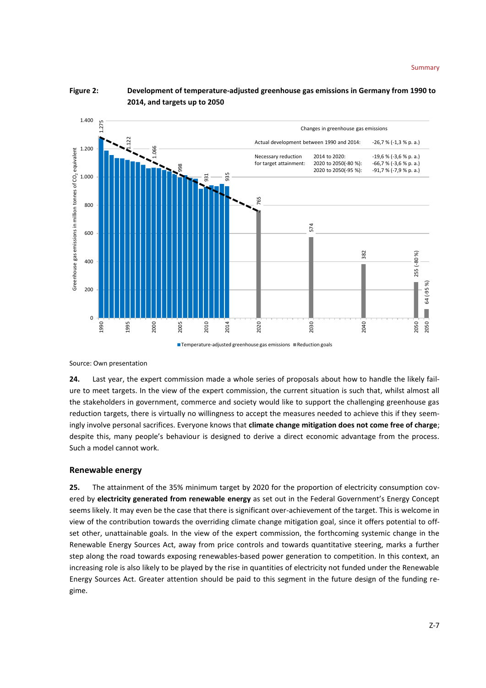

**Figure 2: Development of temperature-adjusted greenhouse gas emissions in Germany from 1990 to 2014, and targets up to 2050**

Source: Own presentation

**24.** Last year, the expert commission made a whole series of proposals about how to handle the likely failure to meet targets. In the view of the expert commission, the current situation is such that, whilst almost all the stakeholders in government, commerce and society would like to support the challenging greenhouse gas reduction targets, there is virtually no willingness to accept the measures needed to achieve this if they seemingly involve personal sacrifices. Everyone knows that **climate change mitigation does not come free of charge**; despite this, many people's behaviour is designed to derive a direct economic advantage from the process. Such a model cannot work.

## **Renewable energy**

**25.** The attainment of the 35% minimum target by 2020 for the proportion of electricity consumption covered by **electricity generated from renewable energy** as set out in the Federal Government's Energy Concept seems likely. It may even be the case that there is significant over-achievement of the target. This is welcome in view of the contribution towards the overriding climate change mitigation goal, since it offers potential to offset other, unattainable goals. In the view of the expert commission, the forthcoming systemic change in the Renewable Energy Sources Act, away from price controls and towards quantitative steering, marks a further step along the road towards exposing renewables-based power generation to competition. In this context, an increasing role is also likely to be played by the rise in quantities of electricity not funded under the Renewable Energy Sources Act. Greater attention should be paid to this segment in the future design of the funding re-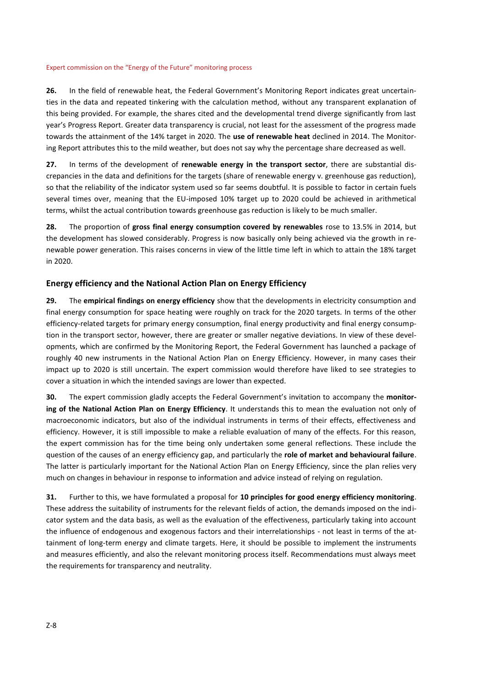**26.** In the field of renewable heat, the Federal Government's Monitoring Report indicates great uncertainties in the data and repeated tinkering with the calculation method, without any transparent explanation of this being provided. For example, the shares cited and the developmental trend diverge significantly from last year's Progress Report. Greater data transparency is crucial, not least for the assessment of the progress made towards the attainment of the 14% target in 2020. The **use of renewable heat** declined in 2014. The Monitoring Report attributes this to the mild weather, but does not say why the percentage share decreased as well.

**27.** In terms of the development of **renewable energy in the transport sector**, there are substantial discrepancies in the data and definitions for the targets (share of renewable energy v. greenhouse gas reduction), so that the reliability of the indicator system used so far seems doubtful. It is possible to factor in certain fuels several times over, meaning that the EU-imposed 10% target up to 2020 could be achieved in arithmetical terms, whilst the actual contribution towards greenhouse gas reduction is likely to be much smaller.

**28.** The proportion of **gross final energy consumption covered by renewables** rose to 13.5% in 2014, but the development has slowed considerably. Progress is now basically only being achieved via the growth in renewable power generation. This raises concerns in view of the little time left in which to attain the 18% target in 2020.

## **Energy efficiency and the National Action Plan on Energy Efficiency**

**29.** The **empirical findings on energy efficiency** show that the developments in electricity consumption and final energy consumption for space heating were roughly on track for the 2020 targets. In terms of the other efficiency-related targets for primary energy consumption, final energy productivity and final energy consumption in the transport sector, however, there are greater or smaller negative deviations. In view of these developments, which are confirmed by the Monitoring Report, the Federal Government has launched a package of roughly 40 new instruments in the National Action Plan on Energy Efficiency. However, in many cases their impact up to 2020 is still uncertain. The expert commission would therefore have liked to see strategies to cover a situation in which the intended savings are lower than expected.

**30.** The expert commission gladly accepts the Federal Government's invitation to accompany the **monitoring of the National Action Plan on Energy Efficiency**. It understands this to mean the evaluation not only of macroeconomic indicators, but also of the individual instruments in terms of their effects, effectiveness and efficiency. However, it is still impossible to make a reliable evaluation of many of the effects. For this reason, the expert commission has for the time being only undertaken some general reflections. These include the question of the causes of an energy efficiency gap, and particularly the **role of market and behavioural failure**. The latter is particularly important for the National Action Plan on Energy Efficiency, since the plan relies very much on changes in behaviour in response to information and advice instead of relying on regulation.

**31.** Further to this, we have formulated a proposal for **10 principles for good energy efficiency monitoring**. These address the suitability of instruments for the relevant fields of action, the demands imposed on the indicator system and the data basis, as well as the evaluation of the effectiveness, particularly taking into account the influence of endogenous and exogenous factors and their interrelationships - not least in terms of the attainment of long-term energy and climate targets. Here, it should be possible to implement the instruments and measures efficiently, and also the relevant monitoring process itself. Recommendations must always meet the requirements for transparency and neutrality.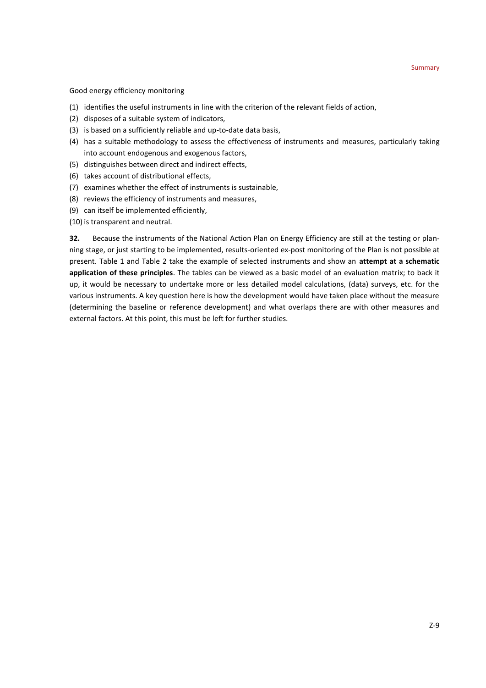Good energy efficiency monitoring

- (1) identifies the useful instruments in line with the criterion of the relevant fields of action,
- (2) disposes of a suitable system of indicators,
- (3) is based on a sufficiently reliable and up-to-date data basis,
- (4) has a suitable methodology to assess the effectiveness of instruments and measures, particularly taking into account endogenous and exogenous factors,
- (5) distinguishes between direct and indirect effects,
- (6) takes account of distributional effects,
- (7) examines whether the effect of instruments is sustainable,
- (8) reviews the efficiency of instruments and measures,
- (9) can itself be implemented efficiently,
- (10) is transparent and neutral.

**32.** Because the instruments of the National Action Plan on Energy Efficiency are still at the testing or planning stage, or just starting to be implemented, results-oriented ex-post monitoring of the Plan is not possible at present. Table 1 and Table 2 take the example of selected instruments and show an **attempt at a schematic application of these principles**. The tables can be viewed as a basic model of an evaluation matrix; to back it up, it would be necessary to undertake more or less detailed model calculations, (data) surveys, etc. for the various instruments. A key question here is how the development would have taken place without the measure (determining the baseline or reference development) and what overlaps there are with other measures and external factors. At this point, this must be left for further studies.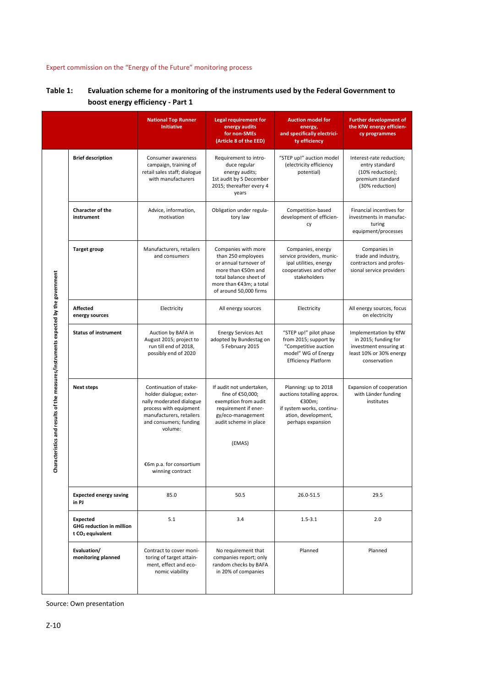|                                                                                    |                                                                                    | <b>National Top Runner</b><br><b>Initiative</b>                                                                                                                                                                         | <b>Legal requirement for</b><br>energy audits<br>for non-SMEs<br>(Article 8 of the EED)                                                                                 | <b>Auction model for</b><br>energy,<br>and specifically electrici-<br>ty efficiency                                                   | <b>Further development of</b><br>the KfW energy efficien-<br>cy programmes                                         |
|------------------------------------------------------------------------------------|------------------------------------------------------------------------------------|-------------------------------------------------------------------------------------------------------------------------------------------------------------------------------------------------------------------------|-------------------------------------------------------------------------------------------------------------------------------------------------------------------------|---------------------------------------------------------------------------------------------------------------------------------------|--------------------------------------------------------------------------------------------------------------------|
| Characteristics and results of the measures/instruments expected by the government | <b>Brief description</b>                                                           | Consumer awareness<br>campaign, training of<br>retail sales staff; dialogue<br>with manufacturers                                                                                                                       | Requirement to intro-<br>duce regular<br>energy audits;<br>1st audit by 5 December<br>2015; thereafter every 4<br>years                                                 | "STEP up!" auction model<br>(electricity efficiency<br>potential)                                                                     | Interest-rate reduction;<br>entry standard<br>(10% reduction);<br>premium standard<br>(30% reduction)              |
|                                                                                    | Character of the<br>instrument                                                     | Advice, information,<br>motivation                                                                                                                                                                                      | Obligation under regula-<br>tory law                                                                                                                                    | Competition-based<br>development of efficien-<br>cy                                                                                   | Financial incentives for<br>investments in manufac-<br>turing<br>equipment/processes                               |
|                                                                                    | <b>Target group</b>                                                                | Manufacturers, retailers<br>and consumers                                                                                                                                                                               | Companies with more<br>than 250 employees<br>or annual turnover of<br>more than €50m and<br>total balance sheet of<br>more than €43m: a total<br>of around 50,000 firms | Companies, energy<br>service providers, munic-<br>ipal utilities, energy<br>cooperatives and other<br>stakeholders                    | Companies in<br>trade and industry,<br>contractors and profes-<br>sional service providers                         |
|                                                                                    | <b>Affected</b><br>energy sources                                                  | Electricity                                                                                                                                                                                                             | All energy sources                                                                                                                                                      | Electricity                                                                                                                           | All energy sources, focus<br>on electricity                                                                        |
|                                                                                    | <b>Status of instrument</b>                                                        | Auction by BAFA in<br>August 2015; project to<br>run till end of 2018,<br>possibly end of 2020                                                                                                                          | <b>Energy Services Act</b><br>adopted by Bundestag on<br>5 February 2015                                                                                                | "STEP up!" pilot phase<br>from 2015; support by<br>"Competitive auction<br>model" WG of Energy<br><b>Efficiency Platform</b>          | Implementation by KfW<br>in 2015; funding for<br>investment ensuring at<br>least 10% or 30% energy<br>conservation |
|                                                                                    | <b>Next steps</b>                                                                  | Continuation of stake-<br>holder dialogue; exter-<br>nally moderated dialogue<br>process with equipment<br>manufacturers, retailers<br>and consumers; funding<br>volume:<br>€6m p.a. for consortium<br>winning contract | If audit not undertaken,<br>fine of €50,000;<br>exemption from audit<br>requirement if ener-<br>gy/eco-management<br>audit scheme in place<br>(EMAS)                    | Planning: up to 2018<br>auctions totalling approx.<br>€300m;<br>if system works, continu-<br>ation, development,<br>perhaps expansion | Expansion of cooperation<br>with Länder funding<br>institutes                                                      |
|                                                                                    | <b>Expected energy saving</b><br>in PJ                                             | 85.0                                                                                                                                                                                                                    | 50.5                                                                                                                                                                    | 26.0-51.5                                                                                                                             | 29.5                                                                                                               |
|                                                                                    | <b>Expected</b><br><b>GHG reduction in million</b><br>t CO <sub>2</sub> equivalent | 5.1                                                                                                                                                                                                                     | 3.4                                                                                                                                                                     | $1.5 - 3.1$                                                                                                                           | 2.0                                                                                                                |
|                                                                                    | Evaluation/<br>monitoring planned                                                  | Contract to cover moni-<br>toring of target attain-<br>ment, effect and eco-<br>nomic viability                                                                                                                         | No requirement that<br>companies report; only<br>random checks by BAFA<br>in 20% of companies                                                                           | Planned                                                                                                                               | Planned                                                                                                            |

## **Table 1: Evaluation scheme for a monitoring of the instruments used by the Federal Government to boost energy efficiency - Part 1**

Source: Own presentation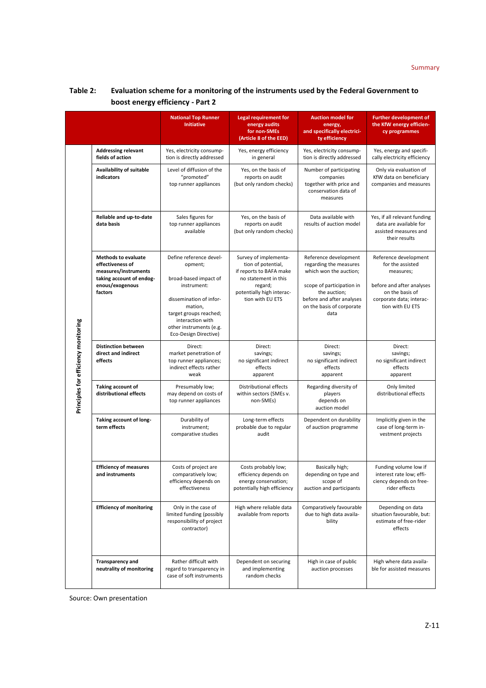|                                      |                                                                                                                                  | <b>National Top Runner</b><br><b>Initiative</b>                                                                                                                                                                    | <b>Legal requirement for</b><br>energy audits<br>for non-SMEs<br>(Article 8 of the EED)                                                                    | <b>Auction model for</b><br>energy,<br>and specifically electrici-<br>ty efficiency                                                                                                      | <b>Further development of</b><br>the KfW energy efficien-<br>cy programmes                                                                             |
|--------------------------------------|----------------------------------------------------------------------------------------------------------------------------------|--------------------------------------------------------------------------------------------------------------------------------------------------------------------------------------------------------------------|------------------------------------------------------------------------------------------------------------------------------------------------------------|------------------------------------------------------------------------------------------------------------------------------------------------------------------------------------------|--------------------------------------------------------------------------------------------------------------------------------------------------------|
| Principles for efficiency monitoring | <b>Addressing relevant</b><br>fields of action                                                                                   | Yes, electricity consump-<br>tion is directly addressed                                                                                                                                                            | Yes, energy efficiency<br>in general                                                                                                                       | Yes, electricity consump-<br>tion is directly addressed                                                                                                                                  | Yes, energy and specifi-<br>cally electricity efficiency                                                                                               |
|                                      | Availability of suitable<br>indicators                                                                                           | Level of diffusion of the<br>"promoted"<br>top runner appliances                                                                                                                                                   | Yes, on the basis of<br>reports on audit<br>(but only random checks)                                                                                       | Number of participating<br>companies<br>together with price and<br>conservation data of<br>measures                                                                                      | Only via evaluation of<br>KfW data on beneficiary<br>companies and measures                                                                            |
|                                      | Reliable and up-to-date<br>data basis                                                                                            | Sales figures for<br>top runner appliances<br>available                                                                                                                                                            | Yes, on the basis of<br>reports on audit<br>(but only random checks)                                                                                       | Data available with<br>results of auction model                                                                                                                                          | Yes, if all relevant funding<br>data are available for<br>assisted measures and<br>their results                                                       |
|                                      | <b>Methods to evaluate</b><br>effectiveness of<br>measures/instruments<br>taking account of endog-<br>enous/exogenous<br>factors | Define reference devel-<br>opment;<br>broad-based impact of<br>instrument:<br>dissemination of infor-<br>mation,<br>target groups reached;<br>interaction with<br>other instruments (e.g.<br>Eco-Design Directive) | Survey of implementa-<br>tion of potential,<br>if reports to BAFA make<br>no statement in this<br>regard;<br>potentially high interac-<br>tion with EU ETS | Reference development<br>regarding the measures<br>which won the auction;<br>scope of participation in<br>the auction;<br>before and after analyses<br>on the basis of corporate<br>data | Reference development<br>for the assisted<br>measures;<br>before and after analyses<br>on the basis of<br>corporate data; interac-<br>tion with EU ETS |
|                                      | <b>Distinction between</b><br>direct and indirect<br>effects                                                                     | Direct:<br>market penetration of<br>top runner appliances;<br>indirect effects rather<br>weak                                                                                                                      | Direct:<br>savings;<br>no significant indirect<br>effects<br>apparent                                                                                      | Direct:<br>savings;<br>no significant indirect<br>effects<br>apparent                                                                                                                    | Direct:<br>savings;<br>no significant indirect<br>effects<br>apparent                                                                                  |
|                                      | Taking account of<br>distributional effects                                                                                      | Presumably low;<br>may depend on costs of<br>top runner appliances                                                                                                                                                 | Distributional effects<br>within sectors (SMEs v.<br>non-SMEs)                                                                                             | Regarding diversity of<br>players<br>depends on<br>auction model                                                                                                                         | Only limited<br>distributional effects                                                                                                                 |
|                                      | Taking account of long-<br>term effects                                                                                          | Durability of<br>instrument;<br>comparative studies                                                                                                                                                                | Long-term effects<br>probable due to regular<br>audit                                                                                                      | Dependent on durability<br>of auction programme                                                                                                                                          | Implicitly given in the<br>case of long-term in-<br>vestment projects                                                                                  |
|                                      | <b>Efficiency of measures</b><br>and instruments                                                                                 | Costs of project are<br>comparatively low;<br>efficiency depends on<br>effectiveness                                                                                                                               | Costs probably low;<br>efficiency depends on<br>energy conservation;<br>potentially high efficiency                                                        | Basically high;<br>depending on type and<br>scope of<br>auction and participants                                                                                                         | Funding volume low if<br>interest rate low; effi-<br>ciency depends on free-<br>rider effects                                                          |
|                                      | <b>Efficiency of monitoring</b>                                                                                                  | Only in the case of<br>limited funding (possibly<br>responsibility of project<br>contractor)                                                                                                                       | High where reliable data<br>available from reports                                                                                                         | Comparatively favourable<br>due to high data availa-<br>bility                                                                                                                           | Depending on data<br>situation favourable, but:<br>estimate of free-rider<br>effects                                                                   |
|                                      | <b>Transparency and</b><br>neutrality of monitoring                                                                              | Rather difficult with<br>regard to transparency in<br>case of soft instruments                                                                                                                                     | Dependent on securing<br>and implementing<br>random checks                                                                                                 | High in case of public<br>auction processes                                                                                                                                              | High where data availa-<br>ble for assisted measures                                                                                                   |

## **Table 2: Evaluation scheme for a monitoring of the instruments used by the Federal Government to boost energy efficiency - Part 2**

Source: Own presentation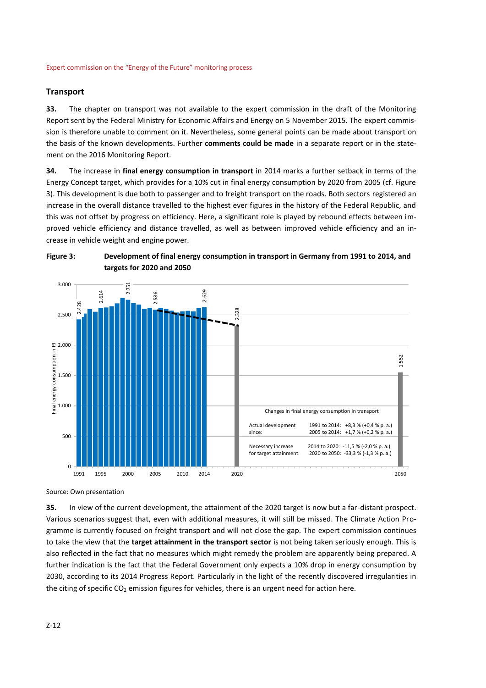## **Transport**

**33.** The chapter on transport was not available to the expert commission in the draft of the Monitoring Report sent by the Federal Ministry for Economic Affairs and Energy on 5 November 2015. The expert commission is therefore unable to comment on it. Nevertheless, some general points can be made about transport on the basis of the known developments. Further **comments could be made** in a separate report or in the statement on the 2016 Monitoring Report.

**34.** The increase in **final energy consumption in transport** in 2014 marks a further setback in terms of the Energy Concept target, which provides for a 10% cut in final energy consumption by 2020 from 2005 (cf. Figure 3). This development is due both to passenger and to freight transport on the roads. Both sectors registered an increase in the overall distance travelled to the highest ever figures in the history of the Federal Republic, and this was not offset by progress on efficiency. Here, a significant role is played by rebound effects between improved vehicle efficiency and distance travelled, as well as between improved vehicle efficiency and an increase in vehicle weight and engine power.



**Figure 3: Development of final energy consumption in transport in Germany from 1991 to 2014, and targets for 2020 and 2050**

Source: Own presentation

**35.** In view of the current development, the attainment of the 2020 target is now but a far-distant prospect. Various scenarios suggest that, even with additional measures, it will still be missed. The Climate Action Programme is currently focused on freight transport and will not close the gap. The expert commission continues to take the view that the **target attainment in the transport sector** is not being taken seriously enough. This is also reflected in the fact that no measures which might remedy the problem are apparently being prepared. A further indication is the fact that the Federal Government only expects a 10% drop in energy consumption by 2030, according to its 2014 Progress Report. Particularly in the light of the recently discovered irregularities in

1991 1995 2000 2005 2010 2014 2020 2050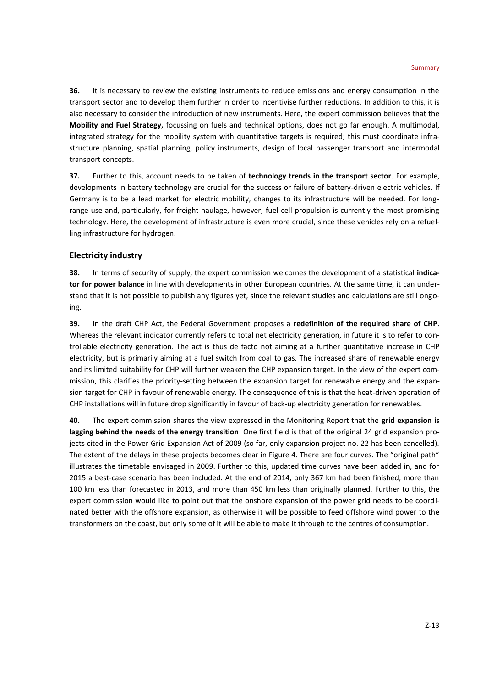**36.** It is necessary to review the existing instruments to reduce emissions and energy consumption in the transport sector and to develop them further in order to incentivise further reductions. In addition to this, it is also necessary to consider the introduction of new instruments. Here, the expert commission believes that the **Mobility and Fuel Strategy,** focussing on fuels and technical options, does not go far enough. A multimodal, integrated strategy for the mobility system with quantitative targets is required; this must coordinate infrastructure planning, spatial planning, policy instruments, design of local passenger transport and intermodal transport concepts.

**37.** Further to this, account needs to be taken of **technology trends in the transport sector**. For example, developments in battery technology are crucial for the success or failure of battery-driven electric vehicles. If Germany is to be a lead market for electric mobility, changes to its infrastructure will be needed. For longrange use and, particularly, for freight haulage, however, fuel cell propulsion is currently the most promising technology. Here, the development of infrastructure is even more crucial, since these vehicles rely on a refuelling infrastructure for hydrogen.

## **Electricity industry**

**38.** In terms of security of supply, the expert commission welcomes the development of a statistical **indicator for power balance** in line with developments in other European countries. At the same time, it can understand that it is not possible to publish any figures yet, since the relevant studies and calculations are still ongoing.

**39.** In the draft CHP Act, the Federal Government proposes a **redefinition of the required share of CHP**. Whereas the relevant indicator currently refers to total net electricity generation, in future it is to refer to controllable electricity generation. The act is thus de facto not aiming at a further quantitative increase in CHP electricity, but is primarily aiming at a fuel switch from coal to gas. The increased share of renewable energy and its limited suitability for CHP will further weaken the CHP expansion target. In the view of the expert commission, this clarifies the priority-setting between the expansion target for renewable energy and the expansion target for CHP in favour of renewable energy. The consequence of this is that the heat-driven operation of CHP installations will in future drop significantly in favour of back-up electricity generation for renewables.

**40.** The expert commission shares the view expressed in the Monitoring Report that the **grid expansion is lagging behind the needs of the energy transition**. One first field is that of the original 24 grid expansion projects cited in the Power Grid Expansion Act of 2009 (so far, only expansion project no. 22 has been cancelled). The extent of the delays in these projects becomes clear in Figure 4. There are four curves. The "original path" illustrates the timetable envisaged in 2009. Further to this, updated time curves have been added in, and for 2015 a best-case scenario has been included. At the end of 2014, only 367 km had been finished, more than 100 km less than forecasted in 2013, and more than 450 km less than originally planned. Further to this, the expert commission would like to point out that the onshore expansion of the power grid needs to be coordinated better with the offshore expansion, as otherwise it will be possible to feed offshore wind power to the transformers on the coast, but only some of it will be able to make it through to the centres of consumption.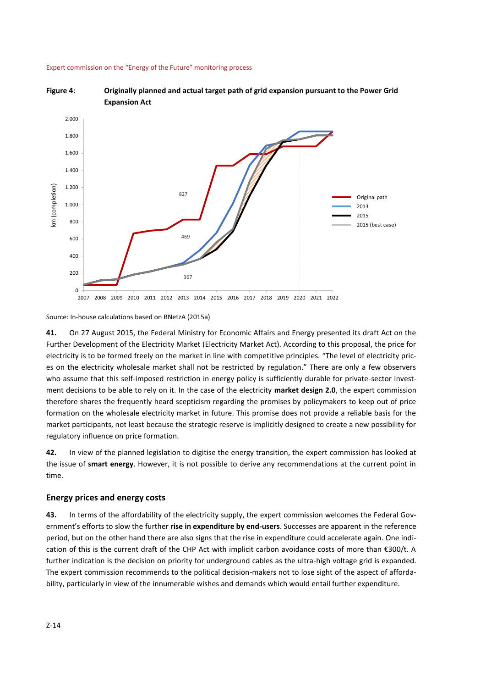



Source: In-house calculations based on BNetzA (2015a)

**41.** On 27 August 2015, the Federal Ministry for Economic Affairs and Energy presented its draft Act on the Further Development of the Electricity Market (Electricity Market Act). According to this proposal, the price for electricity is to be formed freely on the market in line with competitive principles. "The level of electricity prices on the electricity wholesale market shall not be restricted by regulation." There are only a few observers who assume that this self-imposed restriction in energy policy is sufficiently durable for private-sector investment decisions to be able to rely on it. In the case of the electricity **market design 2.0**, the expert commission therefore shares the frequently heard scepticism regarding the promises by policymakers to keep out of price formation on the wholesale electricity market in future. This promise does not provide a reliable basis for the market participants, not least because the strategic reserve is implicitly designed to create a new possibility for regulatory influence on price formation.

**42.** In view of the planned legislation to digitise the energy transition, the expert commission has looked at the issue of **smart energy**. However, it is not possible to derive any recommendations at the current point in time.

## **Energy prices and energy costs**

**43.** In terms of the affordability of the electricity supply, the expert commission welcomes the Federal Government's efforts to slow the further **rise in expenditure by end-users**. Successes are apparent in the reference period, but on the other hand there are also signs that the rise in expenditure could accelerate again. One indication of this is the current draft of the CHP Act with implicit carbon avoidance costs of more than €300/t. A further indication is the decision on priority for underground cables as the ultra-high voltage grid is expanded. The expert commission recommends to the political decision-makers not to lose sight of the aspect of affordability, particularly in view of the innumerable wishes and demands which would entail further expenditure.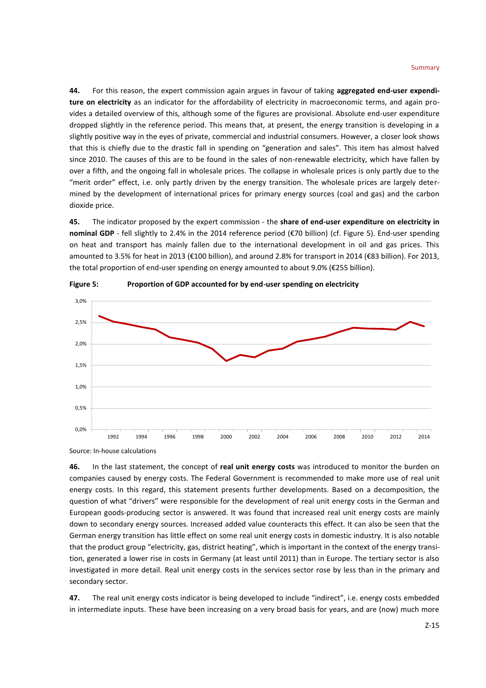**44.** For this reason, the expert commission again argues in favour of taking **aggregated end-user expenditure on electricity** as an indicator for the affordability of electricity in macroeconomic terms, and again provides a detailed overview of this, although some of the figures are provisional. Absolute end-user expenditure dropped slightly in the reference period. This means that, at present, the energy transition is developing in a slightly positive way in the eyes of private, commercial and industrial consumers. However, a closer look shows that this is chiefly due to the drastic fall in spending on "generation and sales". This item has almost halved since 2010. The causes of this are to be found in the sales of non-renewable electricity, which have fallen by over a fifth, and the ongoing fall in wholesale prices. The collapse in wholesale prices is only partly due to the "merit order" effect, i.e. only partly driven by the energy transition. The wholesale prices are largely determined by the development of international prices for primary energy sources (coal and gas) and the carbon dioxide price.

**45.** The indicator proposed by the expert commission - the **share of end-user expenditure on electricity in nominal GDP** - fell slightly to 2.4% in the 2014 reference period (€70 billion) (cf. Figure 5). End-user spending on heat and transport has mainly fallen due to the international development in oil and gas prices. This amounted to 3.5% for heat in 2013 (€100 billion), and around 2.8% for transport in 2014 (€83 billion). For 2013, the total proportion of end-user spending on energy amounted to about 9.0% (€255 billion).



**Figure 5: Proportion of GDP accounted for by end-user spending on electricity**

**46.** In the last statement, the concept of **real unit energy costs** was introduced to monitor the burden on companies caused by energy costs. The Federal Government is recommended to make more use of real unit energy costs. In this regard, this statement presents further developments. Based on a decomposition, the question of what "drivers" were responsible for the development of real unit energy costs in the German and European goods-producing sector is answered. It was found that increased real unit energy costs are mainly down to secondary energy sources. Increased added value counteracts this effect. It can also be seen that the German energy transition has little effect on some real unit energy costs in domestic industry. It is also notable that the product group "electricity, gas, district heating", which is important in the context of the energy transition, generated a lower rise in costs in Germany (at least until 2011) than in Europe. The tertiary sector is also investigated in more detail. Real unit energy costs in the services sector rose by less than in the primary and secondary sector.

**47.** The real unit energy costs indicator is being developed to include "indirect", i.e. energy costs embedded in intermediate inputs. These have been increasing on a very broad basis for years, and are (now) much more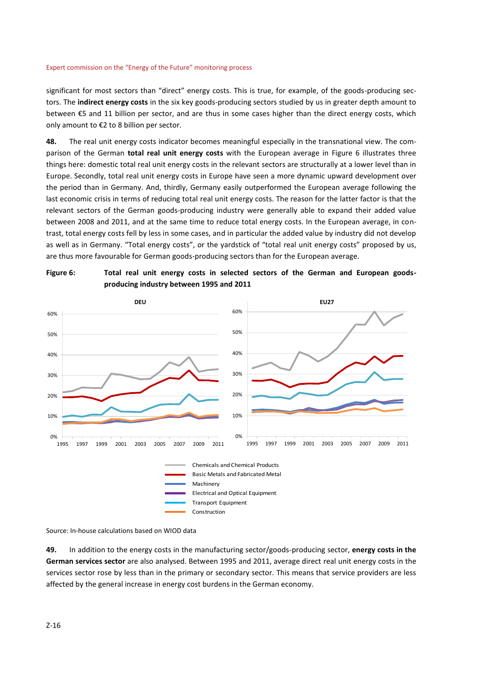significant for most sectors than "direct" energy costs. This is true, for example, of the goods-producing sectors. The **indirect energy costs** in the six key goods-producing sectors studied by us in greater depth amount to between €5 and 11 billion per sector, and are thus in some cases higher than the direct energy costs, which only amount to €2 to 8 billion per sector.

**48.** The real unit energy costs indicator becomes meaningful especially in the transnational view. The comparison of the German **total real unit energy costs** with the European average in Figure 6 illustrates three things here: domestic total real unit energy costs in the relevant sectors are structurally at a lower level than in Europe. Secondly, total real unit energy costs in Europe have seen a more dynamic upward development over the period than in Germany. And, thirdly, Germany easily outperformed the European average following the last economic crisis in terms of reducing total real unit energy costs. The reason for the latter factor is that the relevant sectors of the German goods-producing industry were generally able to expand their added value between 2008 and 2011, and at the same time to reduce total energy costs. In the European average, in contrast, total energy costs fell by less in some cases, and in particular the added value by industry did not develop as well as in Germany. "Total energy costs", or the yardstick of "total real unit energy costs" proposed by us, are thus more favourable for German goods-producing sectors than for the European average.





Source: In-house calculations based on WIOD data

**49.** In addition to the energy costs in the manufacturing sector/goods-producing sector, **energy costs in the German services sector** are also analysed. Between 1995 and 2011, average direct real unit energy costs in the services sector rose by less than in the primary or secondary sector. This means that service providers are less affected by the general increase in energy cost burdens in the German economy.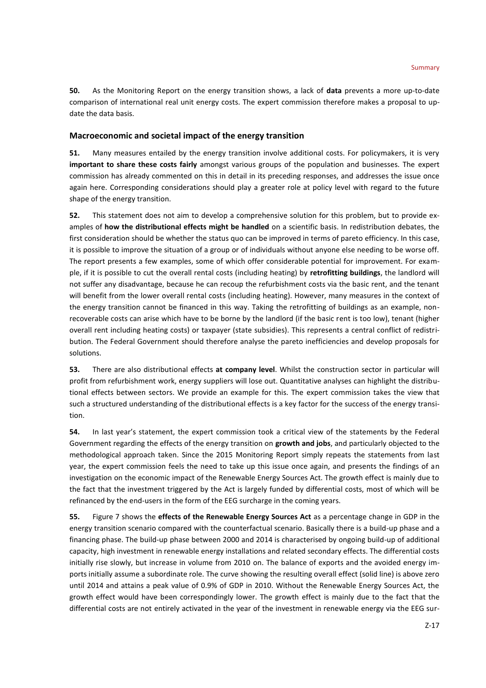**50.** As the Monitoring Report on the energy transition shows, a lack of **data** prevents a more up-to-date comparison of international real unit energy costs. The expert commission therefore makes a proposal to update the data basis.

## **Macroeconomic and societal impact of the energy transition**

**51.** Many measures entailed by the energy transition involve additional costs. For policymakers, it is very **important to share these costs fairly** amongst various groups of the population and businesses. The expert commission has already commented on this in detail in its preceding responses, and addresses the issue once again here. Corresponding considerations should play a greater role at policy level with regard to the future shape of the energy transition.

**52.** This statement does not aim to develop a comprehensive solution for this problem, but to provide examples of **how the distributional effects might be handled** on a scientific basis. In redistribution debates, the first consideration should be whether the status quo can be improved in terms of pareto efficiency. In this case, it is possible to improve the situation of a group or of individuals without anyone else needing to be worse off. The report presents a few examples, some of which offer considerable potential for improvement. For example, if it is possible to cut the overall rental costs (including heating) by **retrofitting buildings**, the landlord will not suffer any disadvantage, because he can recoup the refurbishment costs via the basic rent, and the tenant will benefit from the lower overall rental costs (including heating). However, many measures in the context of the energy transition cannot be financed in this way. Taking the retrofitting of buildings as an example, nonrecoverable costs can arise which have to be borne by the landlord (if the basic rent is too low), tenant (higher overall rent including heating costs) or taxpayer (state subsidies). This represents a central conflict of redistribution. The Federal Government should therefore analyse the pareto inefficiencies and develop proposals for solutions.

**53.** There are also distributional effects **at company level**. Whilst the construction sector in particular will profit from refurbishment work, energy suppliers will lose out. Quantitative analyses can highlight the distributional effects between sectors. We provide an example for this. The expert commission takes the view that such a structured understanding of the distributional effects is a key factor for the success of the energy transition.

**54.** In last year's statement, the expert commission took a critical view of the statements by the Federal Government regarding the effects of the energy transition on **growth and jobs**, and particularly objected to the methodological approach taken. Since the 2015 Monitoring Report simply repeats the statements from last year, the expert commission feels the need to take up this issue once again, and presents the findings of an investigation on the economic impact of the Renewable Energy Sources Act. The growth effect is mainly due to the fact that the investment triggered by the Act is largely funded by differential costs, most of which will be refinanced by the end-users in the form of the EEG surcharge in the coming years.

**55.** Figure 7 shows the **effects of the Renewable Energy Sources Act** as a percentage change in GDP in the energy transition scenario compared with the counterfactual scenario. Basically there is a build-up phase and a financing phase. The build-up phase between 2000 and 2014 is characterised by ongoing build-up of additional capacity, high investment in renewable energy installations and related secondary effects. The differential costs initially rise slowly, but increase in volume from 2010 on. The balance of exports and the avoided energy imports initially assume a subordinate role. The curve showing the resulting overall effect (solid line) is above zero until 2014 and attains a peak value of 0.9% of GDP in 2010. Without the Renewable Energy Sources Act, the growth effect would have been correspondingly lower. The growth effect is mainly due to the fact that the differential costs are not entirely activated in the year of the investment in renewable energy via the EEG sur-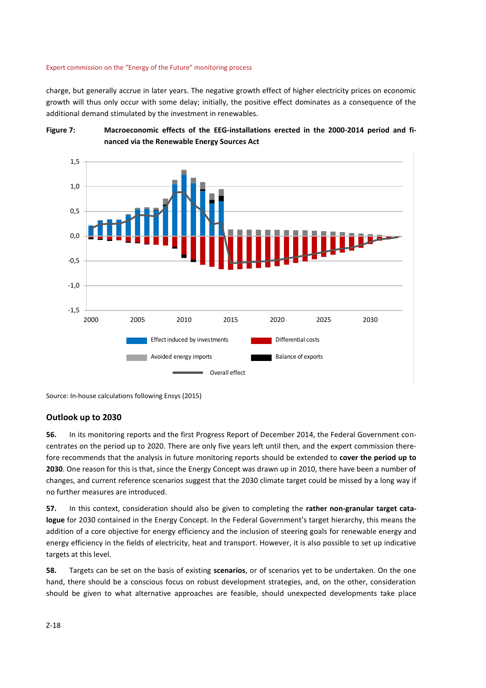charge, but generally accrue in later years. The negative growth effect of higher electricity prices on economic growth will thus only occur with some delay; initially, the positive effect dominates as a consequence of the additional demand stimulated by the investment in renewables.





Source: In-house calculations following Ensys (2015)

## **Outlook up to 2030**

**56.** In its monitoring reports and the first Progress Report of December 2014, the Federal Government concentrates on the period up to 2020. There are only five years left until then, and the expert commission therefore recommends that the analysis in future monitoring reports should be extended to **cover the period up to 2030**. One reason for this is that, since the Energy Concept was drawn up in 2010, there have been a number of changes, and current reference scenarios suggest that the 2030 climate target could be missed by a long way if no further measures are introduced.

**57.** In this context, consideration should also be given to completing the **rather non-granular target catalogue** for 2030 contained in the Energy Concept. In the Federal Government's target hierarchy, this means the addition of a core objective for energy efficiency and the inclusion of steering goals for renewable energy and energy efficiency in the fields of electricity, heat and transport. However, it is also possible to set up indicative targets at this level.

**58.** Targets can be set on the basis of existing **scenarios**, or of scenarios yet to be undertaken. On the one hand, there should be a conscious focus on robust development strategies, and, on the other, consideration should be given to what alternative approaches are feasible, should unexpected developments take place